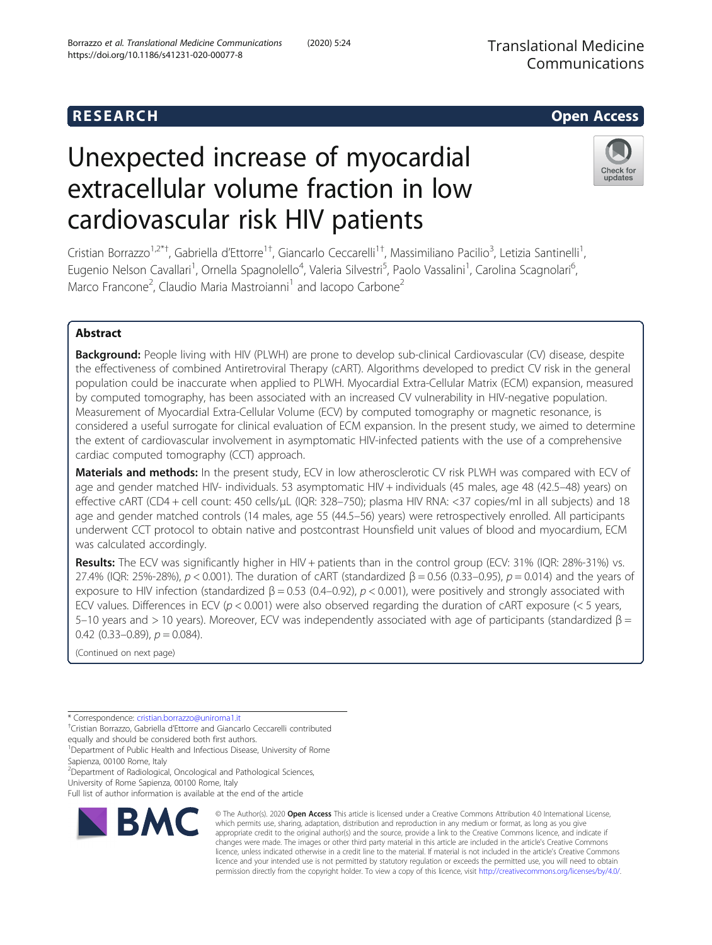## R E S EAR CH Open Access

# Unexpected increase of myocardial extracellular volume fraction in low cardiovascular risk HIV patients

Cristian Borrazzo<sup>1,2\*†</sup>, Gabriella d'Ettorre<sup>1†</sup>, Giancarlo Ceccarelli<sup>1†</sup>, Massimiliano Pacilio<sup>3</sup>, Letizia Santinelli<sup>1</sup> , Eugenio Nelson Cavallari<sup>1</sup>, Ornella Spagnolello<sup>4</sup>, Valeria Silvestri<sup>5</sup>, Paolo Vassalini<sup>1</sup>, Carolina Scagnolari<sup>6</sup> , Marco Francone<sup>2</sup>, Claudio Maria Mastroianni<sup>1</sup> and Iacopo Carbone<sup>2</sup>

### Abstract

**Background:** People living with HIV (PLWH) are prone to develop sub-clinical Cardiovascular (CV) disease, despite the effectiveness of combined Antiretroviral Therapy (cART). Algorithms developed to predict CV risk in the general population could be inaccurate when applied to PLWH. Myocardial Extra-Cellular Matrix (ECM) expansion, measured by computed tomography, has been associated with an increased CV vulnerability in HIV-negative population. Measurement of Myocardial Extra-Cellular Volume (ECV) by computed tomography or magnetic resonance, is considered a useful surrogate for clinical evaluation of ECM expansion. In the present study, we aimed to determine the extent of cardiovascular involvement in asymptomatic HIV-infected patients with the use of a comprehensive cardiac computed tomography (CCT) approach.

Materials and methods: In the present study, ECV in low atherosclerotic CV risk PLWH was compared with ECV of age and gender matched HIV- individuals. 53 asymptomatic HIV + individuals (45 males, age 48 (42.5–48) years) on effective cART (CD4 + cell count: 450 cells/µL (IQR: 328–750); plasma HIV RNA: <37 copies/ml in all subjects) and 18 age and gender matched controls (14 males, age 55 (44.5–56) years) were retrospectively enrolled. All participants underwent CCT protocol to obtain native and postcontrast Hounsfield unit values of blood and myocardium, ECM was calculated accordingly.

Results: The ECV was significantly higher in HIV + patients than in the control group (ECV: 31% (IQR: 28%-31%) vs. 27.4% (IQR: 25%-28%),  $p < 0.001$ ). The duration of cART (standardized  $β = 0.56$  (0.33–0.95),  $p = 0.014$ ) and the years of exposure to HIV infection (standardized  $\beta$  = 0.53 (0.4–0.92),  $p < 0.001$ ), were positively and strongly associated with ECV values. Differences in ECV ( $p < 0.001$ ) were also observed regarding the duration of cART exposure ( $< 5$  years, 5–10 years and > 10 years). Moreover, ECV was independently associated with age of participants (standardized  $β =$ 0.42  $(0.33-0.89)$ ,  $p = 0.084$ ).

(Continued on next page)

\* Correspondence: [cristian.borrazzo@uniroma1.it](mailto:cristian.borrazzo@uniroma1.it) †

RMC

Cristian Borrazzo, Gabriella d'Ettorre and Giancarlo Ceccarelli contributed

equally and should be considered both first authors. <sup>1</sup>Department of Public Health and Infectious Disease, University of Rome

Sapienza, 00100 Rome, Italy <sup>2</sup>Department of Radiological, Oncological and Pathological Sciences,

University of Rome Sapienza, 00100 Rome, Italy

Full list of author information is available at the end of the article

© The Author(s). 2020 Open Access This article is licensed under a Creative Commons Attribution 4.0 International License, which permits use, sharing, adaptation, distribution and reproduction in any medium or format, as long as you give appropriate credit to the original author(s) and the source, provide a link to the Creative Commons licence, and indicate if changes were made. The images or other third party material in this article are included in the article's Creative Commons licence, unless indicated otherwise in a credit line to the material. If material is not included in the article's Creative Commons licence and your intended use is not permitted by statutory regulation or exceeds the permitted use, you will need to obtain permission directly from the copyright holder. To view a copy of this licence, visit [http://creativecommons.org/licenses/by/4.0/.](http://creativecommons.org/licenses/by/4.0/)



Check for updates

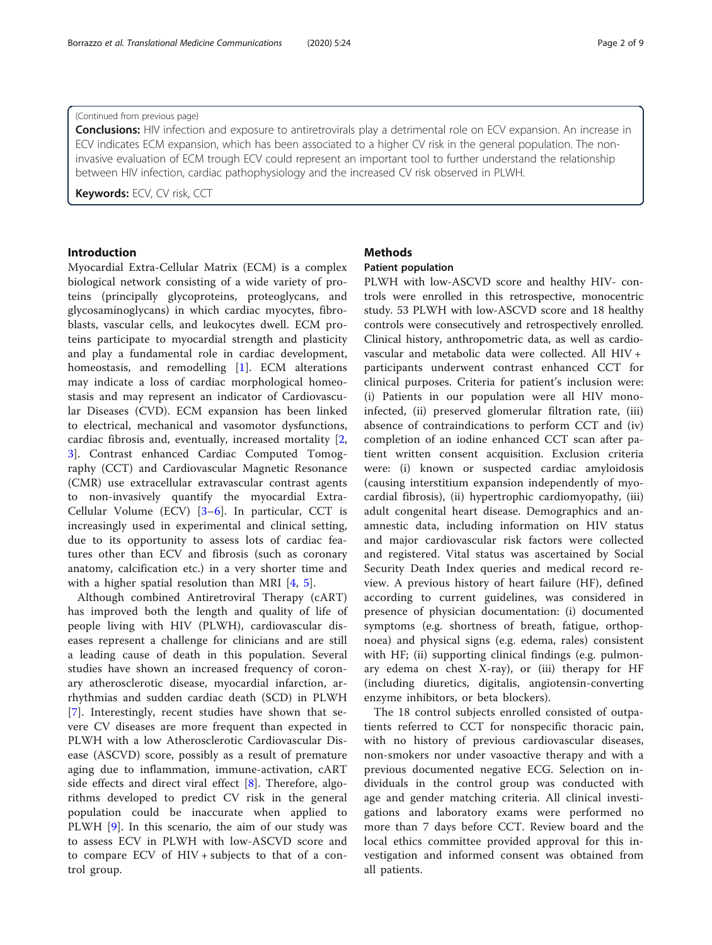#### (Continued from previous page)

**Conclusions:** HIV infection and exposure to antiretrovirals play a detrimental role on ECV expansion. An increase in ECV indicates ECM expansion, which has been associated to a higher CV risk in the general population. The noninvasive evaluation of ECM trough ECV could represent an important tool to further understand the relationship between HIV infection, cardiac pathophysiology and the increased CV risk observed in PLWH.

Keywords: ECV, CV risk, CCT

#### Introduction

Myocardial Extra-Cellular Matrix (ECM) is a complex biological network consisting of a wide variety of proteins (principally glycoproteins, proteoglycans, and glycosaminoglycans) in which cardiac myocytes, fibroblasts, vascular cells, and leukocytes dwell. ECM proteins participate to myocardial strength and plasticity and play a fundamental role in cardiac development, homeostasis, and remodelling [[1](#page-7-0)]. ECM alterations may indicate a loss of cardiac morphological homeostasis and may represent an indicator of Cardiovascular Diseases (CVD). ECM expansion has been linked to electrical, mechanical and vasomotor dysfunctions, cardiac fibrosis and, eventually, increased mortality [\[2](#page-7-0), [3\]](#page-7-0). Contrast enhanced Cardiac Computed Tomography (CCT) and Cardiovascular Magnetic Resonance (CMR) use extracellular extravascular contrast agents to non-invasively quantify the myocardial Extra-Cellular Volume (ECV) [\[3](#page-7-0)–[6](#page-7-0)]. In particular, CCT is increasingly used in experimental and clinical setting, due to its opportunity to assess lots of cardiac features other than ECV and fibrosis (such as coronary anatomy, calcification etc.) in a very shorter time and with a higher spatial resolution than MRI [[4,](#page-7-0) [5\]](#page-7-0).

Although combined Antiretroviral Therapy (cART) has improved both the length and quality of life of people living with HIV (PLWH), cardiovascular diseases represent a challenge for clinicians and are still a leading cause of death in this population. Several studies have shown an increased frequency of coronary atherosclerotic disease, myocardial infarction, arrhythmias and sudden cardiac death (SCD) in PLWH [[7\]](#page-7-0). Interestingly, recent studies have shown that severe CV diseases are more frequent than expected in PLWH with a low Atherosclerotic Cardiovascular Disease (ASCVD) score, possibly as a result of premature aging due to inflammation, immune-activation, cART side effects and direct viral effect [[8\]](#page-7-0). Therefore, algorithms developed to predict CV risk in the general population could be inaccurate when applied to PLWH [[9](#page-7-0)]. In this scenario, the aim of our study was to assess ECV in PLWH with low-ASCVD score and to compare ECV of HIV + subjects to that of a control group.

#### **Methods**

#### Patient population

PLWH with low-ASCVD score and healthy HIV- controls were enrolled in this retrospective, monocentric study. 53 PLWH with low-ASCVD score and 18 healthy controls were consecutively and retrospectively enrolled. Clinical history, anthropometric data, as well as cardiovascular and metabolic data were collected. All HIV + participants underwent contrast enhanced CCT for clinical purposes. Criteria for patient's inclusion were: (i) Patients in our population were all HIV monoinfected, (ii) preserved glomerular filtration rate, (iii) absence of contraindications to perform CCT and (iv) completion of an iodine enhanced CCT scan after patient written consent acquisition. Exclusion criteria were: (i) known or suspected cardiac amyloidosis (causing interstitium expansion independently of myocardial fibrosis), (ii) hypertrophic cardiomyopathy, (iii) adult congenital heart disease. Demographics and anamnestic data, including information on HIV status and major cardiovascular risk factors were collected and registered. Vital status was ascertained by Social Security Death Index queries and medical record review. A previous history of heart failure (HF), defined according to current guidelines, was considered in presence of physician documentation: (i) documented symptoms (e.g. shortness of breath, fatigue, orthopnoea) and physical signs (e.g. edema, rales) consistent with HF; (ii) supporting clinical findings (e.g. pulmonary edema on chest X-ray), or (iii) therapy for HF (including diuretics, digitalis, angiotensin-converting enzyme inhibitors, or beta blockers).

The 18 control subjects enrolled consisted of outpatients referred to CCT for nonspecific thoracic pain, with no history of previous cardiovascular diseases, non-smokers nor under vasoactive therapy and with a previous documented negative ECG. Selection on individuals in the control group was conducted with age and gender matching criteria. All clinical investigations and laboratory exams were performed no more than 7 days before CCT. Review board and the local ethics committee provided approval for this investigation and informed consent was obtained from all patients.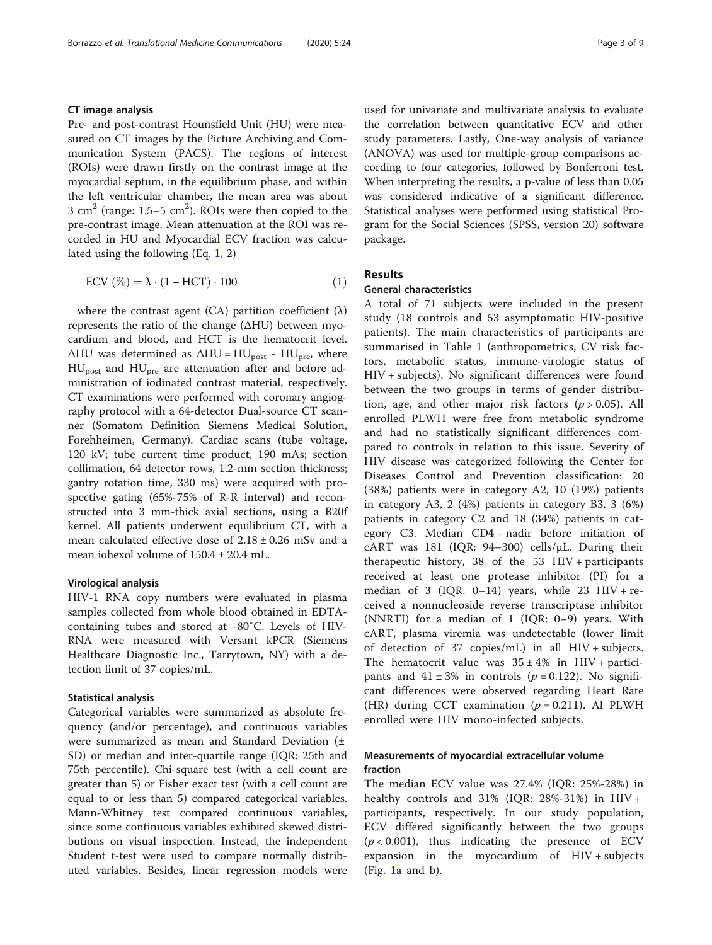#### CT image analysis

Pre- and post-contrast Hounsfield Unit (HU) were measured on CT images by the Picture Archiving and Communication System (PACS). The regions of interest (ROIs) were drawn firstly on the contrast image at the myocardial septum, in the equilibrium phase, and within the left ventricular chamber, the mean area was about 3 cm<sup>2</sup> (range:  $1.5-5$  cm<sup>2</sup>). ROIs were then copied to the pre-contrast image. Mean attenuation at the ROI was recorded in HU and Myocardial ECV fraction was calculated using the following (Eq. 1, 2)

$$
ECV (\%) = \lambda \cdot (1 - HCT) \cdot 100 \tag{1}
$$

where the contrast agent (CA) partition coefficient  $(\lambda)$ represents the ratio of the change (ΔHU) between myocardium and blood, and HCT is the hematocrit level.  $\Delta$ HU was determined as  $\Delta$ HU = HU<sub>post</sub> - HU<sub>pre</sub>, where HUpost and HUpre are attenuation after and before administration of iodinated contrast material, respectively. CT examinations were performed with coronary angiography protocol with a 64-detector Dual-source CT scanner (Somatom Definition Siemens Medical Solution, Forehheimen, Germany). Cardiac scans (tube voltage, 120 kV; tube current time product, 190 mAs; section collimation, 64 detector rows, 1.2-mm section thickness; gantry rotation time, 330 ms) were acquired with prospective gating (65%-75% of R-R interval) and reconstructed into 3 mm-thick axial sections, using a B20f kernel. All patients underwent equilibrium CT, with a mean calculated effective dose of  $2.18 \pm 0.26$  mSv and a mean iohexol volume of 150.4 ± 20.4 mL.

#### Virological analysis

HIV-1 RNA copy numbers were evaluated in plasma samples collected from whole blood obtained in EDTAcontaining tubes and stored at -80˚C. Levels of HIV-RNA were measured with Versant kPCR (Siemens Healthcare Diagnostic Inc., Tarrytown, NY) with a detection limit of 37 copies/mL.

#### Statistical analysis

Categorical variables were summarized as absolute frequency (and/or percentage), and continuous variables were summarized as mean and Standard Deviation (± SD) or median and inter-quartile range (IQR: 25th and 75th percentile). Chi-square test (with a cell count are greater than 5) or Fisher exact test (with a cell count are equal to or less than 5) compared categorical variables. Mann-Whitney test compared continuous variables, since some continuous variables exhibited skewed distributions on visual inspection. Instead, the independent Student t-test were used to compare normally distributed variables. Besides, linear regression models were used for univariate and multivariate analysis to evaluate the correlation between quantitative ECV and other study parameters. Lastly, One-way analysis of variance (ANOVA) was used for multiple-group comparisons according to four categories, followed by Bonferroni test. When interpreting the results, a p-value of less than 0.05 was considered indicative of a significant difference. Statistical analyses were performed using statistical Program for the Social Sciences (SPSS, version 20) software package.

#### Results

#### General characteristics

A total of 71 subjects were included in the present study (18 controls and 53 asymptomatic HIV-positive patients). The main characteristics of participants are summarised in Table [1](#page-3-0) (anthropometrics, CV risk factors, metabolic status, immune-virologic status of HIV + subjects). No significant differences were found between the two groups in terms of gender distribution, age, and other major risk factors  $(p > 0.05)$ . All enrolled PLWH were free from metabolic syndrome and had no statistically significant differences compared to controls in relation to this issue. Severity of HIV disease was categorized following the Center for Diseases Control and Prevention classification: 20 (38%) patients were in category A2, 10 (19%) patients in category A3, 2 (4%) patients in category B3, 3 (6%) patients in category C2 and 18 (34%) patients in category C3. Median CD4 + nadir before initiation of cART was 181 (IQR:  $94-300$ ) cells/µL. During their therapeutic history, 38 of the 53 HIV + participants received at least one protease inhibitor (PI) for a median of 3 (IQR:  $0-14$ ) years, while 23 HIV + received a nonnucleoside reverse transcriptase inhibitor (NNRTI) for a median of 1 (IQR: 0–9) years. With cART, plasma viremia was undetectable (lower limit of detection of 37 copies/mL) in all HIV + subjects. The hematocrit value was  $35 \pm 4\%$  in HIV + participants and  $41 \pm 3\%$  in controls ( $p = 0.122$ ). No significant differences were observed regarding Heart Rate (HR) during CCT examination  $(p = 0.211)$ . Al PLWH enrolled were HIV mono-infected subjects.

#### Measurements of myocardial extracellular volume fraction

The median ECV value was 27.4% (IQR: 25%-28%) in healthy controls and 31% (IQR: 28%-31%) in HIV + participants, respectively. In our study population, ECV differed significantly between the two groups  $(p < 0.001)$ , thus indicating the presence of ECV expansion in the myocardium of HIV + subjects (Fig. [1a](#page-4-0) and b).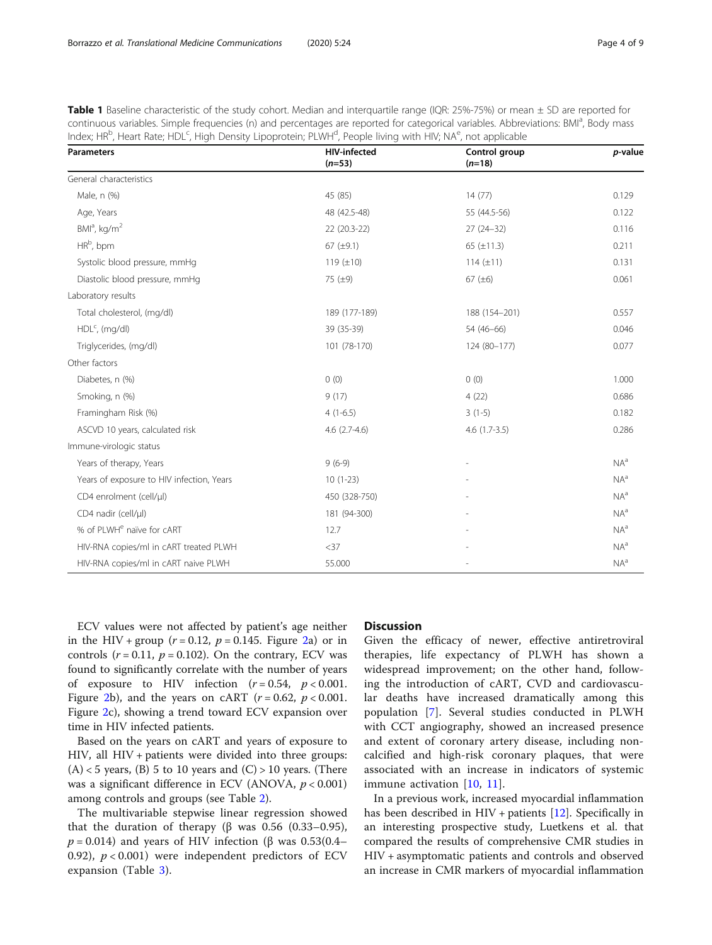<span id="page-3-0"></span>

| Table 1 Baseline characteristic of the study cohort. Median and interquartile range (IQR: 25%-75%) or mean ± SD are reported for                               |
|----------------------------------------------------------------------------------------------------------------------------------------------------------------|
| continuous variables. Simple frequencies (n) and percentages are reported for categorical variables. Abbreviations: BMI <sup>a</sup> , Body mass               |
| Index; HR <sup>b</sup> , Heart Rate; HDL <sup>c</sup> , High Density Lipoprotein; PLWH <sup>d</sup> , People living with HIV; NA <sup>e</sup> , not applicable |

| <b>Parameters</b>                         | <b>HIV-infected</b><br>$(n=53)$ | Control group<br>$(n=18)$ | p-value         |
|-------------------------------------------|---------------------------------|---------------------------|-----------------|
| General characteristics                   |                                 |                           |                 |
| Male, n (%)                               | 45 (85)                         | 14(77)                    | 0.129           |
| Age, Years                                | 48 (42.5-48)                    | 55 (44.5-56)              | 0.122           |
| BMI <sup>a</sup> , kg/m <sup>2</sup>      | 22 (20.3-22)                    | $27(24-32)$               | 0.116           |
| HR <sup>b</sup> , bpm                     | 67 $(\pm 9.1)$                  | 65 $(\pm 11.3)$           | 0.211           |
| Systolic blood pressure, mmHg             | 119 $(\pm 10)$                  | $114 (\pm 11)$            | 0.131           |
| Diastolic blood pressure, mmHg            | 75 (±9)                         | 67 $(\pm 6)$              | 0.061           |
| Laboratory results                        |                                 |                           |                 |
| Total cholesterol, (mg/dl)                | 189 (177-189)                   | 188 (154-201)             | 0.557           |
| HDL <sup>c</sup> , (mg/dl)                | 39 (35-39)                      | 54 (46-66)                | 0.046           |
| Triglycerides, (mg/dl)                    | 101 (78-170)                    | 124 (80-177)              | 0.077           |
| Other factors                             |                                 |                           |                 |
| Diabetes, n (%)                           | 0(0)                            | 0(0)                      | 1.000           |
| Smoking, n (%)                            | 9(17)                           | 4(22)                     | 0.686           |
| Framingham Risk (%)                       | $4(1-6.5)$                      | $3(1-5)$                  | 0.182           |
| ASCVD 10 years, calculated risk           | $4.6$ $(2.7-4.6)$               | $4.6(1.7-3.5)$            | 0.286           |
| Immune-virologic status                   |                                 |                           |                 |
| Years of therapy, Years                   | $9(6-9)$                        |                           | $NA^a$          |
| Years of exposure to HIV infection, Years | $10(1-23)$                      |                           | $NA^a$          |
| CD4 enrolment (cell/µl)                   | 450 (328-750)                   |                           | NA <sup>a</sup> |
| CD4 nadir (cell/µl)                       | 181 (94-300)                    |                           | $NA^a$          |
| % of PLWH <sup>e</sup> naïve for cART     | 12.7                            |                           | $NA^a$          |
| HIV-RNA copies/ml in cART treated PLWH    | $<$ 37                          |                           | NA <sup>a</sup> |
| HIV-RNA copies/ml in cART naive PLWH      | 55.000                          |                           | $NA^a$          |

ECV values were not affected by patient's age neither in the HIV + group  $(r = 0.12, p = 0.145$  $(r = 0.12, p = 0.145$  $(r = 0.12, p = 0.145$ . Figure 2a) or in controls  $(r = 0.11, p = 0.102)$ . On the contrary, ECV was found to significantly correlate with the number of years of exposure to HIV infection  $(r = 0.54, p < 0.001$ . Figure [2b](#page-5-0)), and the years on cART ( $r = 0.62$ ,  $p < 0.001$ . Figure [2c](#page-5-0)), showing a trend toward ECV expansion over time in HIV infected patients.

Based on the years on cART and years of exposure to HIV, all HIV + patients were divided into three groups:  $(A)$  < 5 years,  $(B)$  5 to 10 years and  $(C)$  > 10 years. (There was a significant difference in ECV (ANOVA,  $p < 0.001$ ) among controls and groups (see Table [2\)](#page-6-0).

The multivariable stepwise linear regression showed that the duration of therapy (β was 0.56 (0.33–0.95),  $p = 0.014$ ) and years of HIV infection (β was 0.53(0.4– 0.92),  $p < 0.001$ ) were independent predictors of ECV expansion (Table [3](#page-6-0)).

#### **Discussion**

Given the efficacy of newer, effective antiretroviral therapies, life expectancy of PLWH has shown a widespread improvement; on the other hand, following the introduction of cART, CVD and cardiovascular deaths have increased dramatically among this population [[7](#page-7-0)]. Several studies conducted in PLWH with CCT angiography, showed an increased presence and extent of coronary artery disease, including noncalcified and high-risk coronary plaques, that were associated with an increase in indicators of systemic immune activation [[10,](#page-7-0) [11](#page-7-0)].

In a previous work, increased myocardial inflammation has been described in HIV + patients [\[12](#page-7-0)]. Specifically in an interesting prospective study, Luetkens et al. that compared the results of comprehensive CMR studies in HIV + asymptomatic patients and controls and observed an increase in CMR markers of myocardial inflammation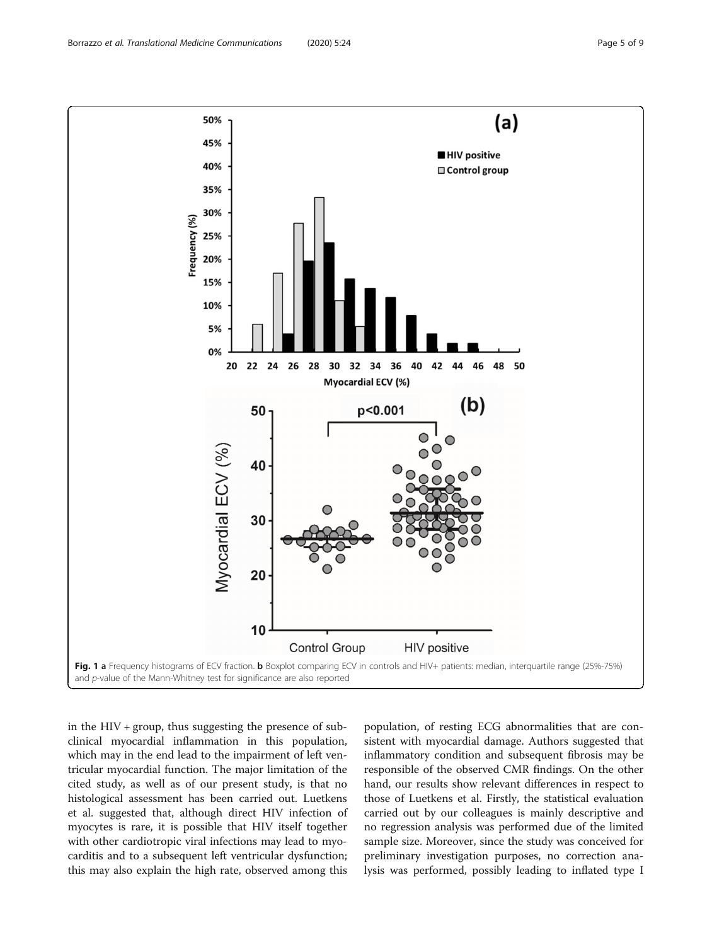<span id="page-4-0"></span>

in the  $HIV + group$ , thus suggesting the presence of subclinical myocardial inflammation in this population, which may in the end lead to the impairment of left ventricular myocardial function. The major limitation of the cited study, as well as of our present study, is that no histological assessment has been carried out. Luetkens et al. suggested that, although direct HIV infection of myocytes is rare, it is possible that HIV itself together with other cardiotropic viral infections may lead to myocarditis and to a subsequent left ventricular dysfunction; this may also explain the high rate, observed among this

population, of resting ECG abnormalities that are consistent with myocardial damage. Authors suggested that inflammatory condition and subsequent fibrosis may be responsible of the observed CMR findings. On the other hand, our results show relevant differences in respect to those of Luetkens et al. Firstly, the statistical evaluation carried out by our colleagues is mainly descriptive and no regression analysis was performed due of the limited sample size. Moreover, since the study was conceived for preliminary investigation purposes, no correction analysis was performed, possibly leading to inflated type I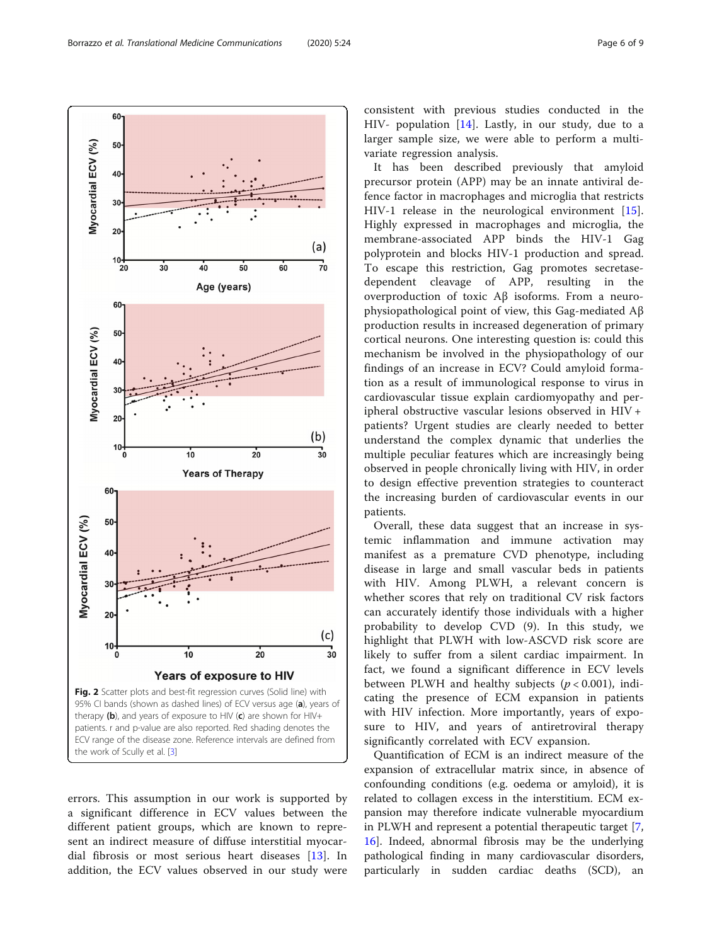errors. This assumption in our work is supported by a significant difference in ECV values between the different patient groups, which are known to represent an indirect measure of diffuse interstitial myocardial fibrosis or most serious heart diseases [\[13](#page-7-0)]. In addition, the ECV values observed in our study were fence factor in macrophages and microglia that restricts HIV-1 release in the neurological environment [\[15](#page-7-0)]. Highly expressed in macrophages and microglia, the membrane-associated APP binds the HIV-1 Gag polyprotein and blocks HIV-1 production and spread. To escape this restriction, Gag promotes secretasedependent cleavage of APP, resulting in the overproduction of toxic Aβ isoforms. From a neurophysiopathological point of view, this Gag-mediated Aβ production results in increased degeneration of primary cortical neurons. One interesting question is: could this mechanism be involved in the physiopathology of our findings of an increase in ECV? Could amyloid formation as a result of immunological response to virus in cardiovascular tissue explain cardiomyopathy and peripheral obstructive vascular lesions observed in HIV + patients? Urgent studies are clearly needed to better understand the complex dynamic that underlies the multiple peculiar features which are increasingly being observed in people chronically living with HIV, in order to design effective prevention strategies to counteract the increasing burden of cardiovascular events in our patients.

Overall, these data suggest that an increase in systemic inflammation and immune activation may manifest as a premature CVD phenotype, including disease in large and small vascular beds in patients with HIV. Among PLWH, a relevant concern is whether scores that rely on traditional CV risk factors can accurately identify those individuals with a higher probability to develop CVD (9). In this study, we highlight that PLWH with low-ASCVD risk score are likely to suffer from a silent cardiac impairment. In fact, we found a significant difference in ECV levels between PLWH and healthy subjects ( $p < 0.001$ ), indicating the presence of ECM expansion in patients with HIV infection. More importantly, years of exposure to HIV, and years of antiretroviral therapy significantly correlated with ECV expansion.

Quantification of ECM is an indirect measure of the expansion of extracellular matrix since, in absence of confounding conditions (e.g. oedema or amyloid), it is related to collagen excess in the interstitium. ECM expansion may therefore indicate vulnerable myocardium in PLWH and represent a potential therapeutic target [\[7](#page-7-0), [16\]](#page-8-0). Indeed, abnormal fibrosis may be the underlying pathological finding in many cardiovascular disorders, particularly in sudden cardiac deaths (SCD), an

<span id="page-5-0"></span>

 $60 -$ 

consistent with previous studies conducted in the HIV- population [[14\]](#page-7-0). Lastly, in our study, due to a larger sample size, we were able to perform a multivariate regression analysis.

It has been described previously that amyloid precursor protein (APP) may be an innate antiviral de-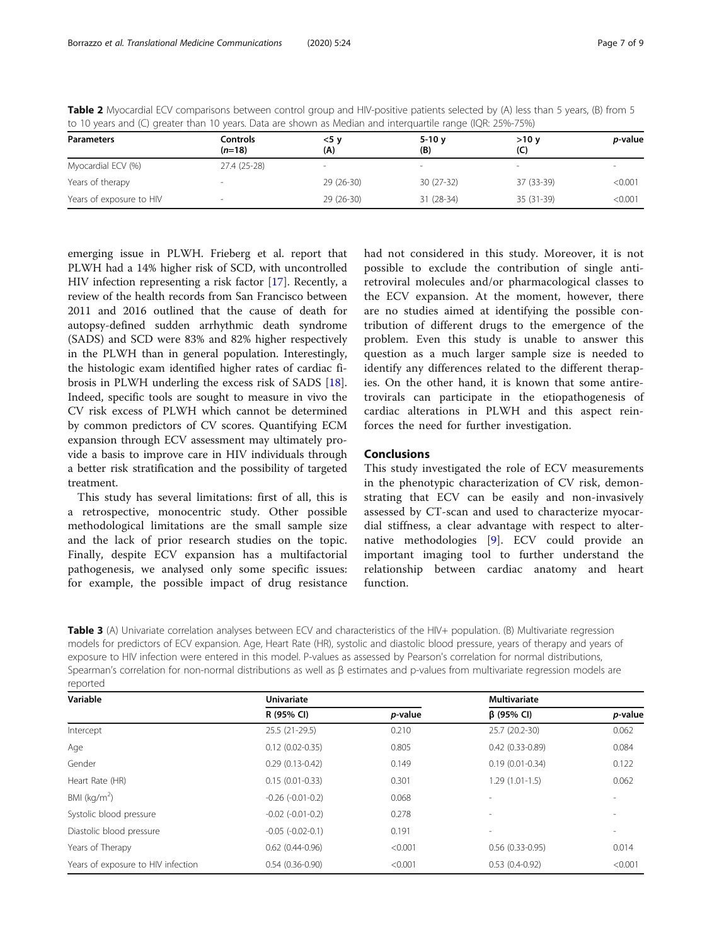| to to fears and (ef greater than to fears. Bata are shown as meanan and meetingal nange (retire Estons) |                      |             |                |             |         |  |  |
|---------------------------------------------------------------------------------------------------------|----------------------|-------------|----------------|-------------|---------|--|--|
| <b>Parameters</b>                                                                                       | Controls<br>$(n=18)$ | <5 v<br>(A) | $5-10y$<br>(B) | >10v<br>(C) | p-value |  |  |
| Myocardial ECV (%)                                                                                      | 27.4 (25-28)         | $\sim$      |                |             |         |  |  |
| Years of therapy                                                                                        |                      | 29 (26-30)  | $30(27-32)$    | 37 (33-39)  | < 0.001 |  |  |
| Years of exposure to HIV                                                                                | ۰                    | 29 (26-30)  | 31 (28-34)     | 35 (31-39)  | < 0.001 |  |  |

<span id="page-6-0"></span>Table 2 Myocardial ECV comparisons between control group and HIV-positive patients selected by (A) less than 5 years, (B) from 5 to 10 years and (C) greater than 10 years. Data are shown as Median and interquartile range (IQR: 25%-75%)

emerging issue in PLWH. Frieberg et al. report that PLWH had a 14% higher risk of SCD, with uncontrolled HIV infection representing a risk factor [\[17](#page-8-0)]. Recently, a review of the health records from San Francisco between 2011 and 2016 outlined that the cause of death for autopsy-defined sudden arrhythmic death syndrome (SADS) and SCD were 83% and 82% higher respectively in the PLWH than in general population. Interestingly, the histologic exam identified higher rates of cardiac fibrosis in PLWH underling the excess risk of SADS [\[18](#page-8-0)]. Indeed, specific tools are sought to measure in vivo the CV risk excess of PLWH which cannot be determined by common predictors of CV scores. Quantifying ECM expansion through ECV assessment may ultimately provide a basis to improve care in HIV individuals through a better risk stratification and the possibility of targeted treatment.

This study has several limitations: first of all, this is a retrospective, monocentric study. Other possible methodological limitations are the small sample size and the lack of prior research studies on the topic. Finally, despite ECV expansion has a multifactorial pathogenesis, we analysed only some specific issues: for example, the possible impact of drug resistance had not considered in this study. Moreover, it is not possible to exclude the contribution of single antiretroviral molecules and/or pharmacological classes to the ECV expansion. At the moment, however, there are no studies aimed at identifying the possible contribution of different drugs to the emergence of the problem. Even this study is unable to answer this question as a much larger sample size is needed to identify any differences related to the different therapies. On the other hand, it is known that some antiretrovirals can participate in the etiopathogenesis of cardiac alterations in PLWH and this aspect reinforces the need for further investigation.

#### Conclusions

This study investigated the role of ECV measurements in the phenotypic characterization of CV risk, demonstrating that ECV can be easily and non-invasively assessed by CT-scan and used to characterize myocardial stiffness, a clear advantage with respect to alternative methodologies [[9\]](#page-7-0). ECV could provide an important imaging tool to further understand the relationship between cardiac anatomy and heart function.

Table 3 (A) Univariate correlation analyses between ECV and characteristics of the HIV+ population. (B) Multivariate regression models for predictors of ECV expansion. Age, Heart Rate (HR), systolic and diastolic blood pressure, years of therapy and years of exposure to HIV infection were entered in this model. P-values as assessed by Pearson's correlation for normal distributions, Spearman's correlation for non-normal distributions as well as β estimates and p-values from multivariate regression models are reported

| Variable                           | <b>Univariate</b>       |                 | <b>Multivariate</b>      |                          |
|------------------------------------|-------------------------|-----------------|--------------------------|--------------------------|
|                                    | R (95% CI)              | <i>p</i> -value | $\beta$ (95% CI)         | <i>p</i> -value          |
| Intercept                          | 25.5 (21-29.5)          | 0.210           | 25.7 (20.2-30)           | 0.062                    |
| Age                                | $0.12(0.02 - 0.35)$     | 0.805           | $0.42(0.33 - 0.89)$      | 0.084                    |
| Gender                             | $0.29(0.13-0.42)$       | 0.149           | $0.19(0.01 - 0.34)$      | 0.122                    |
| Heart Rate (HR)                    | $0.15(0.01 - 0.33)$     | 0.301           | $1.29(1.01-1.5)$         | 0.062                    |
| BMI ( $kg/m2$ )                    | $-0.26$ $(-0.01 - 0.2)$ | 0.068           |                          |                          |
| Systolic blood pressure            | $-0.02$ $(-0.01 - 0.2)$ | 0.278           | -                        |                          |
| Diastolic blood pressure           | $-0.05$ $(-0.02-0.1)$   | 0.191           | $\overline{\phantom{a}}$ | $\overline{\phantom{a}}$ |
| Years of Therapy                   | $0.62(0.44-0.96)$       | < 0.001         | $0.56(0.33-0.95)$        | 0.014                    |
| Years of exposure to HIV infection | $0.54(0.36-0.90)$       | < 0.001         | $0.53(0.4-0.92)$         | < 0.001                  |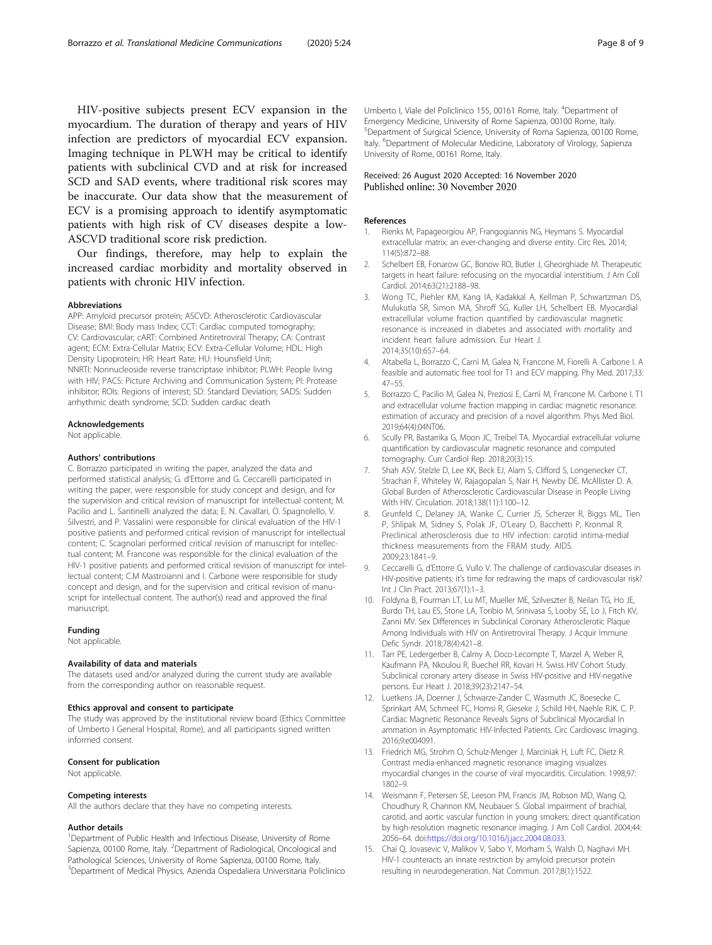<span id="page-7-0"></span>HIV-positive subjects present ECV expansion in the myocardium. The duration of therapy and years of HIV infection are predictors of myocardial ECV expansion. Imaging technique in PLWH may be critical to identify patients with subclinical CVD and at risk for increased SCD and SAD events, where traditional risk scores may be inaccurate. Our data show that the measurement of ECV is a promising approach to identify asymptomatic patients with high risk of CV diseases despite a low-ASCVD traditional score risk prediction.

Our findings, therefore, may help to explain the increased cardiac morbidity and mortality observed in patients with chronic HIV infection.

#### Abbreviations

APP: Amyloid precursor protein; ASCVD: Atherosclerotic Cardiovascular Disease; BMI: Body mass Index; CCT: Cardiac computed tomography; CV: Cardiovascular; cART: Combined Antiretroviral Therapy; CA: Contrast agent; ECM: Extra-Cellular Matrix; ECV: Extra-Cellular Volume; HDL: High Density Lipoprotein; HR: Heart Rate; HU: Hounsfield Unit; NNRTI: Nonnucleoside reverse transcriptase inhibitor; PLWH: People living with HIV; PACS: Picture Archiving and Communication System; PI: Protease inhibitor; ROIs: Regions of interest; SD: Standard Deviation; SADS: Sudden arrhythmic death syndrome; SCD: Sudden cardiac death

#### Acknowledgements

Not applicable.

#### Authors' contributions

C. Borrazzo participated in writing the paper, analyzed the data and performed statistical analysis; G. d'Ettorre and G. Ceccarelli participated in writing the paper, were responsible for study concept and design, and for the supervision and critical revision of manuscript for intellectual content; M. Pacilio and L. Santinelli analyzed the data; E. N. Cavallari, O. Spagnolello, V. Silvestri, and P. Vassalini were responsible for clinical evaluation of the HIV-1 positive patients and performed critical revision of manuscript for intellectual content; C. Scagnolari performed critical revision of manuscript for intellectual content; M. Francone was responsible for the clinical evaluation of the HIV-1 positive patients and performed critical revision of manuscript for intellectual content; C.M Mastroianni and I. Carbone were responsible for study concept and design, and for the supervision and critical revision of manuscript for intellectual content. The author(s) read and approved the final manuscript.

#### Funding

Not applicable.

#### Availability of data and materials

The datasets used and/or analyzed during the current study are available from the corresponding author on reasonable request.

#### Ethics approval and consent to participate

The study was approved by the institutional review board (Ethics Committee of Umberto I General Hospital, Rome), and all participants signed written informed consent.

#### Consent for publication

Not applicable.

#### Competing interests

All the authors declare that they have no competing interests.

#### Author details

<sup>1</sup>Department of Public Health and Infectious Disease, University of Rome Sapienza, 00100 Rome, Italy. <sup>2</sup>Department of Radiological, Oncological and Pathological Sciences, University of Rome Sapienza, 00100 Rome, Italy. 3 Department of Medical Physics, Azienda Ospedaliera Universitaria Policlinico

Umberto I, Viale del Policlinico 155, 00161 Rome, Italy. <sup>4</sup>Department of Emergency Medicine, University of Rome Sapienza, 00100 Rome, Italy. 5 Department of Surgical Science, University of Roma Sapienza, 00100 Rome, Italy. <sup>6</sup>Department of Molecular Medicine, Laboratory of Virology, Sapienza University of Rome, 00161 Rome, Italy.

#### Received: 26 August 2020 Accepted: 16 November 2020 Published online: 30 November 2020

#### References

- 1. Rienks M, Papageorgiou AP, Frangogiannis NG, Heymans S. Myocardial extracellular matrix: an ever-changing and diverse entity. Circ Res. 2014; 114(5):872–88.
- 2. Schelbert EB, Fonarow GC, Bonow RO, Butler J, Gheorghiade M. Therapeutic targets in heart failure: refocusing on the myocardial interstitium. J Am Coll Cardiol. 2014;63(21):2188–98.
- 3. Wong TC, Piehler KM, Kang IA, Kadakkal A, Kellman P, Schwartzman DS, Mulukutla SR, Simon MA, Shroff SG, Kuller LH, Schelbert EB. Myocardial extracellular volume fraction quantified by cardiovascular magnetic resonance is increased in diabetes and associated with mortality and incident heart failure admission. Eur Heart J. 2014;35(10):657–64.
- 4. Altabella L, Borrazzo C, Carnì M, Galea N, Francone M, Fiorelli A. Carbone I. A feasible and automatic free tool for T1 and ECV mapping. Phy Med. 2017;33: 47–55.
- 5. Borrazzo C, Pacilio M, Galea N, Preziosi E, Carnì M, Francone M. Carbone I. T1 and extracellular volume fraction mapping in cardiac magnetic resonance: estimation of accuracy and precision of a novel algorithm. Phys Med Biol. 2019;64(4):04NT06.
- 6. Scully PR, Bastarrika G, Moon JC, Treibel TA. Myocardial extracellular volume quantification by cardiovascular magnetic resonance and computed tomography. Curr Cardiol Rep. 2018;20(3):15.
- 7. Shah ASV, Stelzle D, Lee KK, Beck EJ, Alam S, Clifford S, Longenecker CT, Strachan F, Whiteley W, Rajagopalan S, Nair H, Newby DE. McAllister D. A. Global Burden of Atherosclerotic Cardiovascular Disease in People Living With HIV. Circulation. 2018;138(11):1100–12.
- 8. Grunfeld C, Delaney JA, Wanke C, Currier JS, Scherzer R, Biggs ML, Tien P, Shlipak M, Sidney S, Polak JF, O'Leary D, Bacchetti P, Kronmal R. Preclinical atherosclerosis due to HIV infection: carotid intima-medial thickness measurements from the FRAM study. AIDS. 2009;23:1841–9.
- 9. Ceccarelli G, d'Ettorre G, Vullo V. The challenge of cardiovascular diseases in HIV-positive patients: it's time for redrawing the maps of cardiovascular risk? Int J Clin Pract. 2013;67(1):1–3.
- 10. Foldyna B, Fourman LT, Lu MT, Mueller ME, Szilveszter B, Neilan TG, Ho JE, Burdo TH, Lau ES, Stone LA, Toribio M, Srinivasa S, Looby SE, Lo J, Fitch KV, Zanni MV. Sex Differences in Subclinical Coronary Atherosclerotic Plaque Among Individuals with HIV on Antiretroviral Therapy. J Acquir Immune Defic Syndr. 2018;78(4):421–8.
- 11. Tarr PE, Ledergerber B, Calmy A, Doco-Lecompte T, Marzel A, Weber R, Kaufmann PA, Nkoulou R, Buechel RR, Kovari H. Swiss HIV Cohort Study. Subclinical coronary artery disease in Swiss HIV-positive and HIV-negative persons. Eur Heart J. 2018;39(23):2147–54.
- 12. Luetkens JA, Doerner J, Schwarze-Zander C, Wasmuth JC, Boesecke C, Sprinkart AM, Schmeel FC, Homsi R, Gieseke J, Schild HH, Naehle RJK. C. P. Cardiac Magnetic Resonance Reveals Signs of Subclinical Myocardial In ammation in Asymptomatic HIV-Infected Patients. Circ Cardiovasc Imaging. 2016;9:e004091.
- 13. Friedrich MG, Strohm O, Schulz-Menger J, Marciniak H, Luft FC, Dietz R. Contrast media-enhanced magnetic resonance imaging visualizes myocardial changes in the course of viral myocarditis. Circulation. 1998;97: 1802–9.
- 14. Weismann F, Petersen SE, Leeson PM, Francis JM, Robson MD, Wang Q, Choudhury R, Channon KM, Neubauer S. Global impairment of brachial, carotid, and aortic vascular function in young smokers: direct quantification by high-resolution magnetic resonance imaging. J Am Coll Cardiol. 2004;44: 2056–64. doi[:https://doi.org/10.1016/j.jacc.2004.08.033](https://doi.org/10.1016/j.jacc.2004.08.033).
- 15. Chai Q, Jovasevic V, Malikov V, Sabo Y, Morham S, Walsh D, Naghavi MH. HIV-1 counteracts an innate restriction by amyloid precursor protein resulting in neurodegeneration. Nat Commun. 2017;8(1):1522.